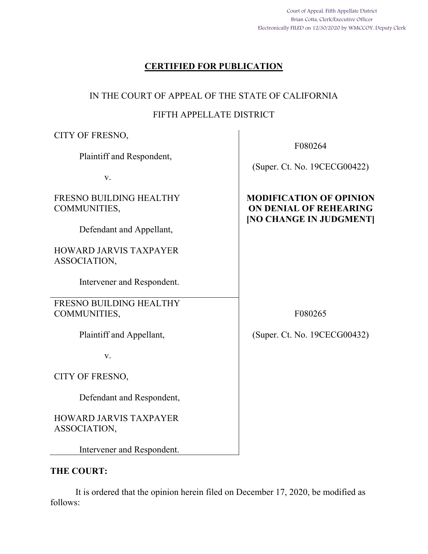Court of Appeal, Fifth Appellate District Brian Cotta, Clerk/Executive Officer Electronically FILED on 12/30/2020 by WMCCOY, Deputy Clerk

## **CERTIFIED FOR PUBLICATION**

## IN THE COURT OF APPEAL OF THE STATE OF CALIFORNIA

## FIFTH APPELLATE DISTRICT

| CITY OF FRESNO,                               |                                                                                                   |
|-----------------------------------------------|---------------------------------------------------------------------------------------------------|
| Plaintiff and Respondent,                     | F080264<br>(Super. Ct. No. 19CECG00422)                                                           |
| V.                                            |                                                                                                   |
| FRESNO BUILDING HEALTHY<br>COMMUNITIES,       | <b>MODIFICATION OF OPINION</b><br><b>ON DENIAL OF REHEARING</b><br><b>[NO CHANGE IN JUDGMENT]</b> |
| Defendant and Appellant,                      |                                                                                                   |
| <b>HOWARD JARVIS TAXPAYER</b><br>ASSOCIATION, |                                                                                                   |
| Intervener and Respondent.                    |                                                                                                   |
| FRESNO BUILDING HEALTHY<br>COMMUNITIES,       | F080265                                                                                           |
| Plaintiff and Appellant,                      | (Super. Ct. No. 19CECG00432)                                                                      |
| V.                                            |                                                                                                   |
| CITY OF FRESNO,                               |                                                                                                   |
| Defendant and Respondent,                     |                                                                                                   |
| <b>HOWARD JARVIS TAXPAYER</b><br>ASSOCIATION, |                                                                                                   |
| Intervener and Respondent.                    |                                                                                                   |

## **THE COURT:**

 It is ordered that the opinion herein filed on December 17, 2020, be modified as follows: